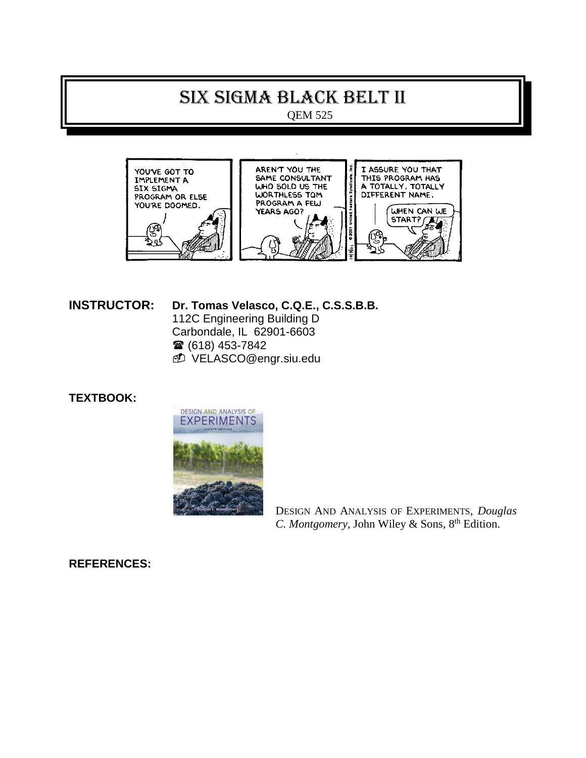# SIX SIGMA Black belt II

QEM 525



# **INSTRUCTOR: Dr. Tomas Velasco, C.Q.E., C.S.S.B.B.** 112C Engineering Building D Carbondale, IL 62901-6603 ■ (618) 453-7842

VELASCO@engr.siu.edu

# **TEXTBOOK:**



DESIGN AND ANALYSIS OF EXPERIMENTS, *Douglas*  C. Montgomery, John Wiley & Sons, 8<sup>th</sup> Edition.

# **REFERENCES:**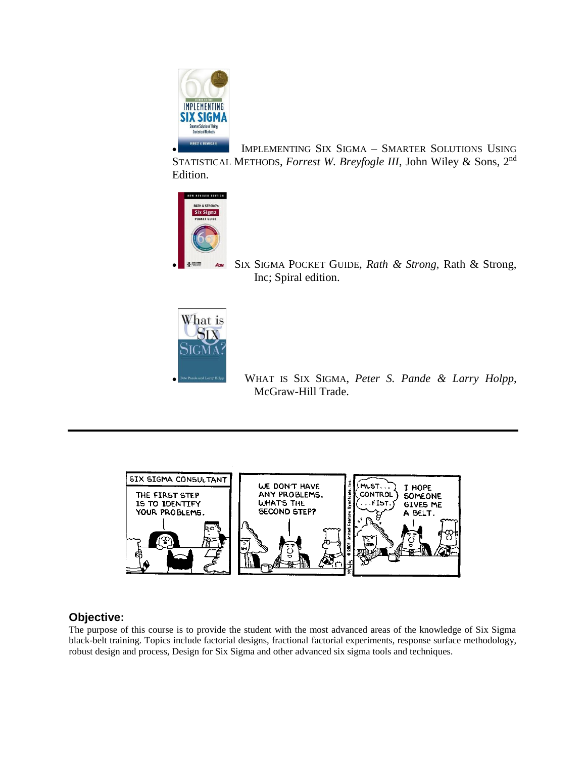

 IMPLEMENTING SIX SIGMA – SMARTER SOLUTIONS USING STATISTICAL METHODS, *Forrest W. Breyfogle III*, John Wiley & Sons, 2nd Edition.



 SIX SIGMA POCKET GUIDE, *Rath & Strong*, Rath & Strong, Inc; Spiral edition.



 WHAT IS SIX SIGMA, *[Peter S. Pande](http://www.amazon.com/exec/obidos/search-handle-url/index=books&field-author=Pande%2C%20Peter%20S./104-9362036-7755904) & [Larry Holpp](http://www.amazon.com/exec/obidos/search-handle-url/index=books&field-author=Holpp%2C%20Larry/104-9362036-7755904)*, McGraw-Hill Trade.



# **Objective:**

The purpose of this course is to provide the student with the most advanced areas of the knowledge of Six Sigma black-belt training. Topics include factorial designs, fractional factorial experiments, response surface methodology, robust design and process, Design for Six Sigma and other advanced six sigma tools and techniques.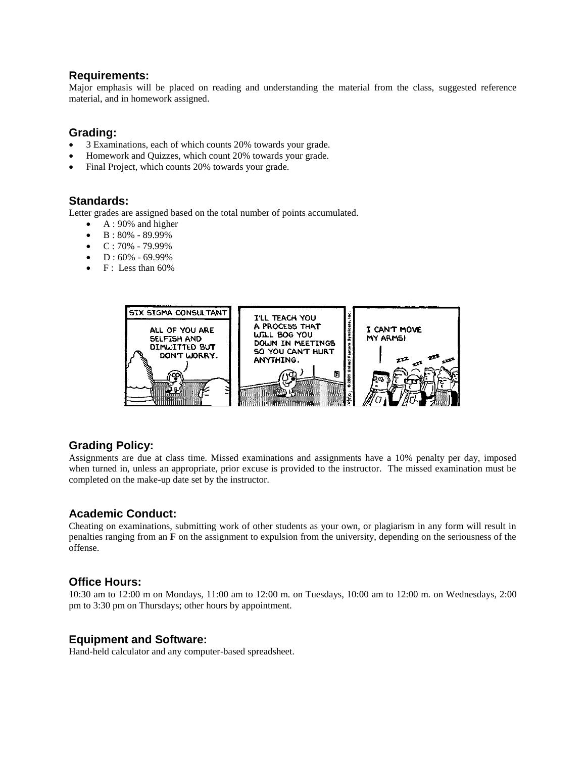#### **Requirements:**

Major emphasis will be placed on reading and understanding the material from the class, suggested reference material, and in homework assigned.

## **Grading:**

- 3 Examinations, each of which counts 20% towards your grade.
- Homework and Quizzes, which count 20% towards your grade.
- Final Project, which counts 20% towards your grade.

## **Standards:**

Letter grades are assigned based on the total number of points accumulated.

- $\bullet$  A : 90% and higher
- $\bullet$  B: 80% 89.99%
- $\bullet$  C: 70% 79.99%
- D : 60% 69.99%
- F : Less than 60%



## **Grading Policy:**

Assignments are due at class time. Missed examinations and assignments have a 10% penalty per day, imposed when turned in, unless an appropriate, prior excuse is provided to the instructor. The missed examination must be completed on the make-up date set by the instructor.

#### **Academic Conduct:**

Cheating on examinations, submitting work of other students as your own, or plagiarism in any form will result in penalties ranging from an **F** on the assignment to expulsion from the university, depending on the seriousness of the offense.

#### **Office Hours:**

10:30 am to 12:00 m on Mondays, 11:00 am to 12:00 m. on Tuesdays, 10:00 am to 12:00 m. on Wednesdays, 2:00 pm to 3:30 pm on Thursdays; other hours by appointment.

#### **Equipment and Software:**

Hand-held calculator and any computer-based spreadsheet.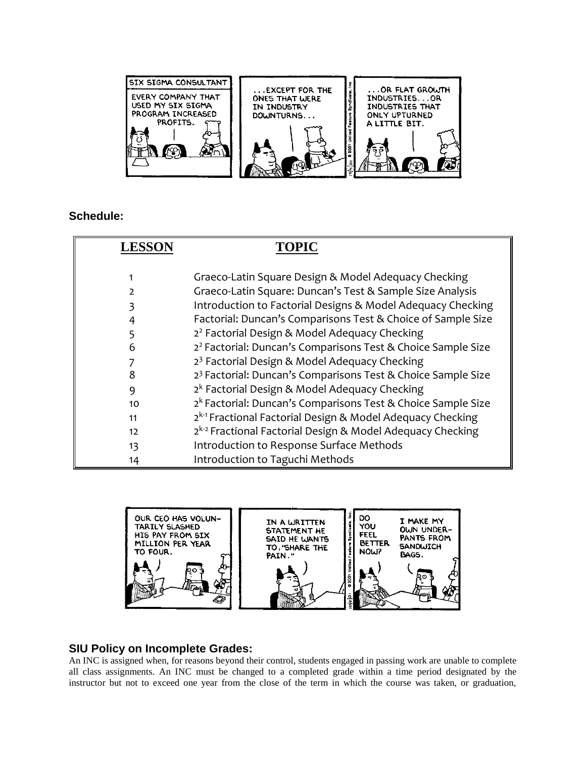

# **Schedule:**

| <b>LESSON</b>   | TOPIC                                                                    |
|-----------------|--------------------------------------------------------------------------|
|                 |                                                                          |
|                 | Graeco-Latin Square Design & Model Adequacy Checking                     |
|                 | Graeco-Latin Square: Duncan's Test & Sample Size Analysis                |
|                 | Introduction to Factorial Designs & Model Adequacy Checking              |
|                 | Factorial: Duncan's Comparisons Test & Choice of Sample Size             |
|                 | 2 <sup>2</sup> Factorial Design & Model Adequacy Checking                |
| 6               | 2 <sup>2</sup> Factorial: Duncan's Comparisons Test & Choice Sample Size |
|                 | 2 <sup>3</sup> Factorial Design & Model Adequacy Checking                |
| 8               | 2 <sup>3</sup> Factorial: Duncan's Comparisons Test & Choice Sample Size |
| 9               | 2 <sup>k</sup> Factorial Design & Model Adequacy Checking                |
| 10 <sup>2</sup> | 2 <sup>k</sup> Factorial: Duncan's Comparisons Test & Choice Sample Size |
| 11              | 2 <sup>k-1</sup> Fractional Factorial Design & Model Adequacy Checking   |
| 12              | 2 <sup>k-2</sup> Fractional Factorial Design & Model Adequacy Checking   |
| 13              | Introduction to Response Surface Methods                                 |
| 14              | Introduction to Taguchi Methods                                          |



## **SIU Policy on Incomplete Grades:**

An INC is assigned when, for reasons beyond their control, students engaged in passing work are unable to complete all class assignments. An INC must be changed to a completed grade within a time period designated by the instructor but not to exceed one year from the close of the term in which the course was taken, or graduation,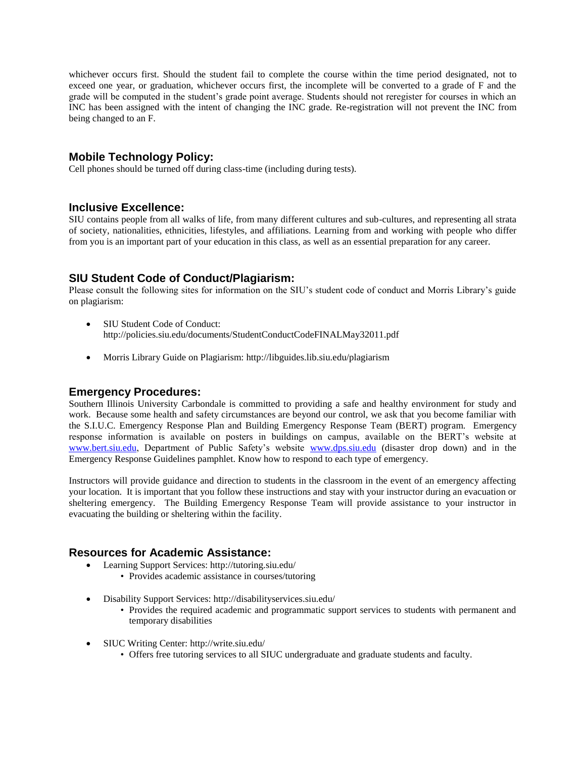whichever occurs first. Should the student fail to complete the course within the time period designated, not to exceed one year, or graduation, whichever occurs first, the incomplete will be converted to a grade of F and the grade will be computed in the student's grade point average. Students should not reregister for courses in which an INC has been assigned with the intent of changing the INC grade. Re-registration will not prevent the INC from being changed to an F.

# **Mobile Technology Policy:**

Cell phones should be turned off during class-time (including during tests).

## **Inclusive Excellence:**

SIU contains people from all walks of life, from many different cultures and sub-cultures, and representing all strata of society, nationalities, ethnicities, lifestyles, and affiliations. Learning from and working with people who differ from you is an important part of your education in this class, as well as an essential preparation for any career.

## **SIU Student Code of Conduct/Plagiarism:**

Please consult the following sites for information on the SIU's student code of conduct and Morris Library's guide on plagiarism:

- SIU Student Code of Conduct: http://policies.siu.edu/documents/StudentConductCodeFINALMay32011.pdf
- Morris Library Guide on Plagiarism: http://libguides.lib.siu.edu/plagiarism

#### **Emergency Procedures:**

Southern Illinois University Carbondale is committed to providing a safe and healthy environment for study and work. Because some health and safety circumstances are beyond our control, we ask that you become familiar with the S.I.U.C. Emergency Response Plan and Building Emergency Response Team (BERT) program. Emergency response information is available on posters in buildings on campus, available on the BERT's website at [www.bert.siu.edu,](http://www.bert.siu.edu/) Department of Public Safety's website [www.dps.siu.edu](http://www.dps.siu.edu/) (disaster drop down) and in the Emergency Response Guidelines pamphlet. Know how to respond to each type of emergency.

Instructors will provide guidance and direction to students in the classroom in the event of an emergency affecting your location. It is important that you follow these instructions and stay with your instructor during an evacuation or sheltering emergency. The Building Emergency Response Team will provide assistance to your instructor in evacuating the building or sheltering within the facility.

## **Resources for Academic Assistance:**

- Learning Support Services: http://tutoring.siu.edu/
	- Provides academic assistance in courses/tutoring
- Disability Support Services: http://disabilityservices.siu.edu/
	- Provides the required academic and programmatic support services to students with permanent and temporary disabilities
- SIUC Writing Center: http://write.siu.edu/
	- Offers free tutoring services to all SIUC undergraduate and graduate students and faculty.